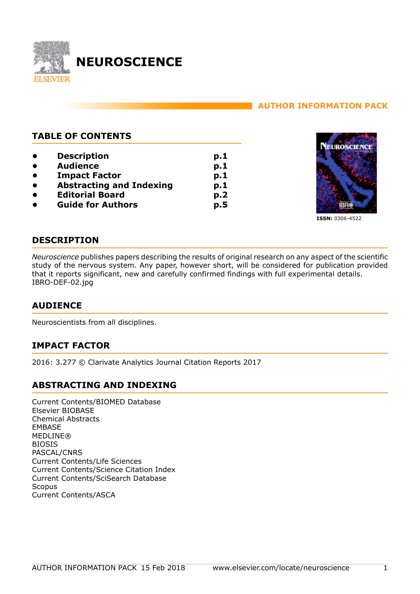

# **AUTHOR INFORMATION PACK**

# **TABLE OF CONTENTS**

**• [Description](#page-0-0) • [Audience](#page-0-1) • [Impact Factor](#page-0-2) • [Abstracting and Indexing](#page-0-3) • [Editorial Board](#page-1-0) • [Guide for Authors](#page-4-0) p.1 p.1 p.1 p.1 p.2 p.5**



**ISSN:** 0306-4522

# <span id="page-0-0"></span>**DESCRIPTION**

*Neuroscience* publishes papers describing the results of original research on any aspect of the scientific study of the nervous system. Any paper, however short, will be considered for publication provided that it reports significant, new and carefully confirmed findings with full experimental details. IBRO-DEF-02.jpg

# <span id="page-0-1"></span>**AUDIENCE**

Neuroscientists from all disciplines.

# <span id="page-0-2"></span>**IMPACT FACTOR**

2016: 3.277 © Clarivate Analytics Journal Citation Reports 2017

# <span id="page-0-3"></span>**ABSTRACTING AND INDEXING**

Current Contents/BIOMED Database Elsevier BIOBASE Chemical Abstracts EMBASE **MEDLINE®** BIOSIS PASCAL/CNRS Current Contents/Life Sciences Current Contents/Science Citation Index Current Contents/SciSearch Database Scopus Current Contents/ASCA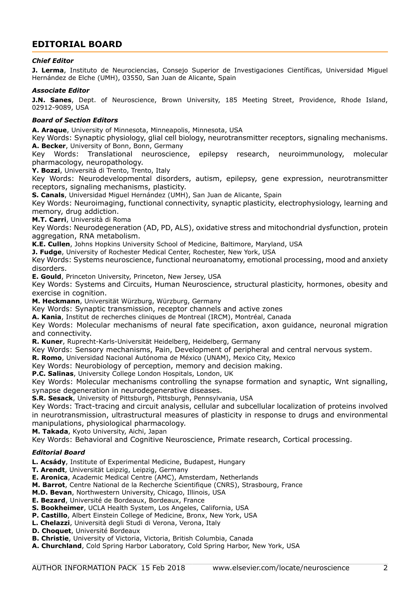# <span id="page-1-0"></span>**EDITORIAL BOARD**

#### *Chief Editor*

**J. Lerma**, Instituto de Neurociencias, Consejo Superior de Investigaciones Científicas, Universidad Miguel Hernández de Elche (UMH), 03550, San Juan de Alicante, Spain

#### *Associate Editor*

**J.N. Sanes**, Dept. of Neuroscience, Brown University, 185 Meeting Street, Providence, Rhode Island, 02912-9089, USA

#### *Board of Section Editors*

**A. Araque**, University of Minnesota, Minneapolis, Minnesota, USA

Key Words: Synaptic physiology, glial cell biology, neurotransmitter receptors, signaling mechanisms. **A. Becker**, University of Bonn, Bonn, Germany

Key Words: Translational neuroscience, epilepsy research, neuroimmunology, molecular pharmacology, neuropathology.

**Y. Bozzi**, Università di Trento, Trento, Italy

Key Words: Neurodevelopmental disorders, autism, epilepsy, gene expression, neurotransmitter receptors, signaling mechanisms, plasticity.

**S. Canals**, Universidad Miguel Hernández (UMH), San Juan de Alicante, Spain

Key Words: Neuroimaging, functional connectivity, synaptic plasticity, electrophysiology, learning and memory, drug addiction.

**M.T. Carri**, Università di Roma

Key Words: Neurodegeneration (AD, PD, ALS), oxidative stress and mitochondrial dysfunction, protein aggregation, RNA metabolism.

**K.E. Cullen**, Johns Hopkins University School of Medicine, Baltimore, Maryland, USA

**J. Fudge**, University of Rochester Medical Center, Rochester, New York, USA

Key Words: Systems neuroscience, functional neuroanatomy, emotional processing, mood and anxiety disorders.

**E. Gould**, Princeton University, Princeton, New Jersey, USA

Key Words: Systems and Circuits, Human Neuroscience, structural plasticity, hormones, obesity and exercise in cognition.

**M. Heckmann**, Universität Würzburg, Würzburg, Germany

Key Words: Synaptic transmission, receptor channels and active zones

**A. Kania**, Institut de recherches cliniques de Montreal (IRCM), Montréal, Canada

Key Words: Molecular mechanisms of neural fate specification, axon guidance, neuronal migration and connectivity.

**R. Kuner**, Ruprecht-Karls-Universität Heidelberg, Heidelberg, Germany

Key Words: Sensory mechanisms, Pain, Development of peripheral and central nervous system.

**R. Romo**, Universidad Nacional Autónoma de México (UNAM), Mexico City, Mexico

Key Words: Neurobiology of perception, memory and decision making.

**P.C. Salinas**, University College London Hospitals, London, UK

Key Words: Molecular mechanisms controlling the synapse formation and synaptic, Wnt signalling, synapse degeneration in neurodegenerative diseases.

**S.R. Sesack**, University of Pittsburgh, Pittsburgh, Pennsylvania, USA

Key Words: Tract-tracing and circuit analysis, cellular and subcellular localization of proteins involved in neurotransmission, ultrastructural measures of plasticity in response to drugs and environmental manipulations, physiological pharmacology.

**M. Takada**, Kyoto University, Aichi, Japan

Key Words: Behavioral and Cognitive Neuroscience, Primate research, Cortical processing.

#### *Editorial Board*

**L. Acsády**, Institute of Experimental Medicine, Budapest, Hungary

**T. Arendt**, Universität Leipzig, Leipzig, Germany

**E. Aronica**, Academic Medical Centre (AMC), Amsterdam, Netherlands

**M. Barrot**, Centre National de la Recherche Scientifique (CNRS), Strasbourg, France

**M.D. Bevan**, Northwestern University, Chicago, Illinois, USA

**E. Bezard**, Université de Bordeaux, Bordeaux, France

- **S. Bookheimer**, UCLA Health System, Los Angeles, California, USA
- **P. Castillo**, Albert Einstein College of Medicine, Bronx, New York, USA
- **L. Chelazzi**, Università degli Studi di Verona, Verona, Italy
- **D. Choquet**, Université Bordeaux
- **B. Christie**, University of Victoria, Victoria, British Columbia, Canada
- **A. Churchland**, Cold Spring Harbor Laboratory, Cold Spring Harbor, New York, USA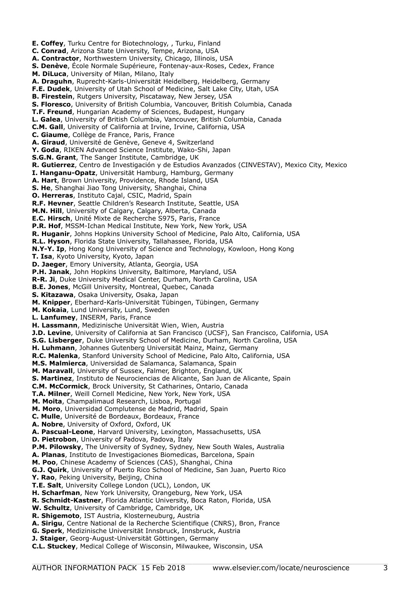**E. Coffey**, Turku Centre for Biotechnology, , Turku, Finland **C. Conrad**, Arizona State University, Tempe, Arizona, USA **A. Contractor**, Northwestern University, Chicago, Illinois, USA **S. Denève**, École Normale Supérieure, Fontenay-aux-Roses, Cedex, France **M. DiLuca**, University of Milan, Milano, Italy **A. Draguhn**, Ruprecht-Karls-Universität Heidelberg, Heidelberg, Germany **F.E. Dudek**, University of Utah School of Medicine, Salt Lake City, Utah, USA **B. Firestein**, Rutgers University, Piscataway, New Jersey, USA **S. Floresco**, University of British Columbia, Vancouver, British Columbia, Canada **T.F. Freund**, Hungarian Academy of Sciences, Budapest, Hungary **L. Galea**, University of British Columbia, Vancouver, British Columbia, Canada **C.M. Gall**, University of California at Irvine, Irvine, California, USA **C. Giaume**, Collège de France, Paris, France **A. Giraud**, Université de Genève, Geneve 4, Switzerland **Y. Goda**, RIKEN Advanced Science Institute, Wako-Shi, Japan **S.G.N. Grant**, The Sanger Institute, Cambridge, UK **R. Gutierrez**, Centro de Investigación y de Estudios Avanzados (CINVESTAV), Mexico City, Mexico **I. Hanganu-Opatz**, Universität Hamburg, Hamburg, Germany **A. Hart**, Brown University, Providence, Rhode Island, USA **S. He**, Shanghai Jiao Tong University, Shanghai, China **O. Herreras**, Instituto Cajal, CSIC, Madrid, Spain **R.F. Hevner**, Seattle Children's Research Institute, Seattle, USA **M.N. Hill**, University of Calgary, Calgary, Alberta, Canada **E.C. Hirsch**, Unité Mixte de Recherche S975, Paris, France **P.R. Hof**, MSSM-Ichan Medical Institute, New York, New York, USA **R. Huganir**, Johns Hopkins University School of Medicine, Palo Alto, California, USA **R.L. Hyson**, Florida State University, Tallahassee, Florida, USA **N.Y-Y. Ip**, Hong Kong University of Science and Technology, Kowloon, Hong Kong **T. Isa**, Kyoto University, Kyoto, Japan **D. Jaeger**, Emory University, Atlanta, Georgia, USA **P.H. Janak**, John Hopkins University, Baltimore, Maryland, USA **R-R. Ji**, Duke University Medical Center, Durham, North Carolina, USA **B.E. Jones**, McGill University, Montreal, Quebec, Canada **S. Kitazawa**, Osaka University, Osaka, Japan **M. Knipper**, Eberhard-Karls-Universität Tübingen, Tübingen, Germany **M. Kokaia**, Lund University, Lund, Sweden **L. Lanfumey**, INSERM, Paris, France **H. Lassmann**, Medizinische Universität Wien, Wien, Austria **J.D. Levine**, University of California at San Francisco (UCSF), San Francisco, California, USA **S.G. Lisberger**, Duke University School of Medicine, Durham, North Carolina, USA **H. Luhmann**, Johannes Gutenberg Universität Mainz, Mainz, Germany **R.C. Malenka**, Stanford University School of Medicine, Palo Alto, California, USA **M.S. Malmierca**, Universidad de Salamanca, Salamanca, Spain **M. Maravall**, University of Sussex, Falmer, Brighton, England, UK **S. Martinez**, Instituto de Neurociencias de Alicante, San Juan de Alicante, Spain **C.M. McCormick**, Brock University, St Catharines, Ontario, Canada **T.A. Milner**, Weill Cornell Medicine, New York, New York, USA **M. Moita**, Champalimaud Research, Lisboa, Portugal **M. Moro**, Universidad Complutense de Madrid, Madrid, Spain **C. Mulle**, Université de Bordeaux, Bordeaux, France **A. Nobre**, University of Oxford, Oxford, UK **A. Pascual-Leone**, Harvard University, Lexington, Massachusetts, USA **D. Pietrobon**, University of Padova, Padova, Italy **P.M. Pilowsky**, The University of Sydney, Sydney, New South Wales, Australia **A. Planas**, Instituto de Investigaciones Biomedicas, Barcelona, Spain **M. Poo**, Chinese Academy of Sciences (CAS), Shanghai, China **G.J. Quirk**, University of Puerto Rico School of Medicine, San Juan, Puerto Rico **Y. Rao**, Peking University, Beijing, China **T.E. Salt**, University College London (UCL), London, UK **H. Scharfman**, New York University, Orangeburg, New York, USA **R. Schmidt-Kastner**, Florida Atlantic University, Boca Raton, Florida, USA **W. Schultz**, University of Cambridge, Cambridge, UK **R. Shigemoto**, IST Austria, Klosterneuburg, Austria **A. Sirigu**, Centre National de la Recherche Scientifique (CNRS), Bron, France **G. Sperk**, Medizinische Universität Innsbruck, Innsbruck, Austria **J. Staiger**, Georg-August-Universität Göttingen, Germany **C.L. Stuckey**, Medical College of Wisconsin, Milwaukee, Wisconsin, USA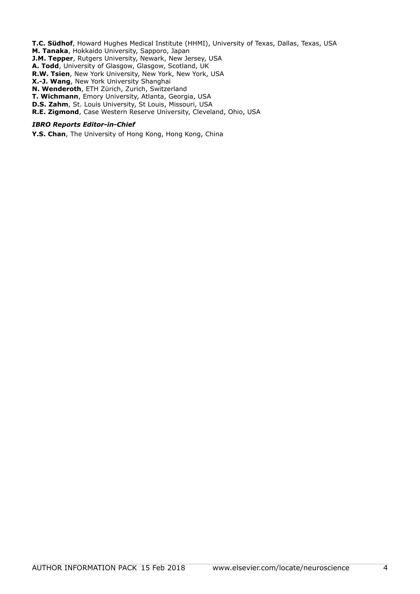**T.C. Südhof**, Howard Hughes Medical Institute (HHMI), University of Texas, Dallas, Texas, USA **M. Tanaka**, Hokkaido University, Sapporo, Japan **J.M. Tepper**, Rutgers University, Newark, New Jersey, USA **A. Todd**, University of Glasgow, Glasgow, Scotland, UK **R.W. Tsien**, New York University, New York, New York, USA

**X.-J. Wang**, New York University Shanghai

**N. Wenderoth**, ETH Zürich, Zurich, Switzerland

**T. Wichmann**, Emory University, Atlanta, Georgia, USA

**D.S. Zahm**, St. Louis University, St Louis, Missouri, USA

**R.E. Zigmond**, Case Western Reserve University, Cleveland, Ohio, USA

#### *IBRO Reports Editor-in-Chief*

**Y.S. Chan**, The University of Hong Kong, Hong Kong, China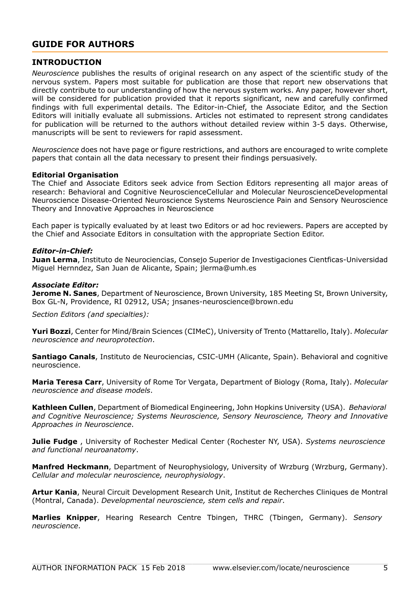# <span id="page-4-0"></span>**GUIDE FOR AUTHORS**

# **INTRODUCTION**

*Neuroscience* publishes the results of original research on any aspect of the scientific study of the nervous system. Papers most suitable for publication are those that report new observations that directly contribute to our understanding of how the nervous system works. Any paper, however short, will be considered for publication provided that it reports significant, new and carefully confirmed findings with full experimental details. The Editor-in-Chief, the Associate Editor, and the Section Editors will initially evaluate all submissions. Articles not estimated to represent strong candidates for publication will be returned to the authors without detailed review within 3-5 days. Otherwise, manuscripts will be sent to reviewers for rapid assessment.

*Neuroscience* does not have page or figure restrictions, and authors are encouraged to write complete papers that contain all the data necessary to present their findings persuasively.

## **Editorial Organisation**

The Chief and Associate Editors seek advice from Section Editors representing all major areas of research: Behavioral and Cognitive NeuroscienceCellular and Molecular NeuroscienceDevelopmental Neuroscience Disease-Oriented Neuroscience Systems Neuroscience Pain and Sensory Neuroscience Theory and Innovative Approaches in Neuroscience

Each paper is typically evaluated by at least two Editors or ad hoc reviewers. Papers are accepted by the Chief and Associate Editors in consultation with the appropriate Section Editor.

#### *Editor-in-Chief:*

**Juan Lerma**, Instituto de Neurociencias, Consejo Superior de Investigaciones Cientficas-Universidad Miguel Hernndez, San Juan de Alicante, Spain; jlerma@umh.es

#### *Associate Editor:*

**Jerome N. Sanes**, Department of Neuroscience, Brown University, 185 Meeting St, Brown University, Box GL-N, Providence, RI 02912, USA; jnsanes-neuroscience@brown.edu

*Section Editors (and specialties):*

**Yuri Bozzi**, Center for Mind/Brain Sciences (CIMeC), University of Trento (Mattarello, Italy). *Molecular neuroscience and neuroprotection*.

**Santiago Canals**, Instituto de Neurociencias, CSIC-UMH (Alicante, Spain). Behavioral and cognitive neuroscience.

**Maria Teresa Carr**, University of Rome Tor Vergata, Department of Biology (Roma, Italy). *Molecular neuroscience and disease models*.

**Kathleen Cullen**, Department of Biomedical Engineering, John Hopkins University (USA). *Behavioral and Cognitive Neuroscience; Systems Neuroscience, Sensory Neuroscience, Theory and Innovative Approaches in Neuroscience*.

**Julie Fudge** , University of Rochester Medical Center (Rochester NY, USA). *Systems neuroscience and functional neuroanatomy*.

**Manfred Heckmann**, Department of Neurophysiology, University of Wrzburg (Wrzburg, Germany). *Cellular and molecular neuroscience, neurophysiology*.

**Artur Kania**, Neural Circuit Development Research Unit, Institut de Recherches Cliniques de Montral (Montral, Canada). *Developmental neuroscience, stem cells and repair*.

**Marlies Knipper**, Hearing Research Centre Tbingen, THRC (Tbingen, Germany). *Sensory neuroscience*.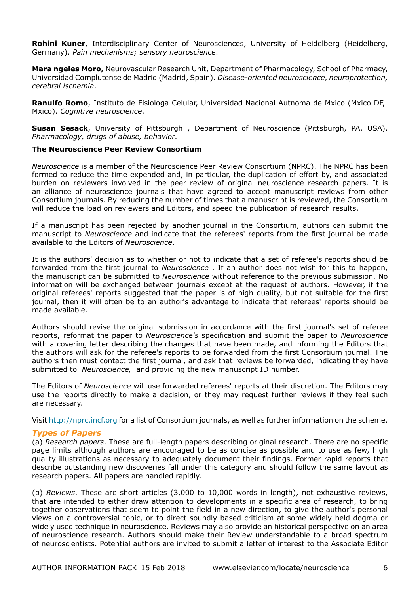**Rohini Kuner**, Interdisciplinary Center of Neurosciences, University of Heidelberg (Heidelberg, Germany). *Pain mechanisms; sensory neuroscience*.

**Mara ngeles Moro,** Neurovascular Research Unit, Department of Pharmacology, School of Pharmacy, Universidad Complutense de Madrid (Madrid, Spain). *Disease-oriented neuroscience, neuroprotection, cerebral ischemia*.

**Ranulfo Romo**, Instituto de Fisiologa Celular, Universidad Nacional Autnoma de Mxico (Mxico DF, Mxico). *Cognitive neuroscience*.

**Susan Sesack**, University of Pittsburgh , Department of Neuroscience (Pittsburgh, PA, USA). *Pharmacology, drugs of abuse, behavior.*

## **The Neuroscience Peer Review Consortium**

*Neuroscience* is a member of the Neuroscience Peer Review Consortium (NPRC). The NPRC has been formed to reduce the time expended and, in particular, the duplication of effort by, and associated burden on reviewers involved in the peer review of original neuroscience research papers. It is an alliance of neuroscience journals that have agreed to accept manuscript reviews from other Consortium journals. By reducing the number of times that a manuscript is reviewed, the Consortium will reduce the load on reviewers and Editors, and speed the publication of research results.

If a manuscript has been rejected by another journal in the Consortium, authors can submit the manuscript to *Neuroscience* and indicate that the referees' reports from the first journal be made available to the Editors of *Neuroscience*.

It is the authors' decision as to whether or not to indicate that a set of referee's reports should be forwarded from the first journal to *Neuroscience* . If an author does not wish for this to happen, the manuscript can be submitted to *Neuroscience* without reference to the previous submission. No information will be exchanged between journals except at the request of authors. However, if the original referees' reports suggested that the paper is of high quality, but not suitable for the first journal, then it will often be to an author's advantage to indicate that referees' reports should be made available.

Authors should revise the original submission in accordance with the first journal's set of referee reports, reformat the paper to *Neuroscience's* specification and submit the paper to *Neuroscience* with a covering letter describing the changes that have been made, and informing the Editors that the authors will ask for the referee's reports to be forwarded from the first Consortium journal. The authors then must contact the first journal, and ask that reviews be forwarded, indicating they have submitted to *Neuroscience,* and providing the new manuscript ID number.

The Editors of *Neuroscience* will use forwarded referees' reports at their discretion. The Editors may use the reports directly to make a decision, or they may request further reviews if they feel such are necessary.

Visit http://nprc.incf.org for a list of Consortium journals, as well as further information on the scheme.

# *Types of Papers*

(a) *Research papers*. These are full-length papers describing original research. There are no specific page limits although authors are encouraged to be as concise as possible and to use as few, high quality illustrations as necessary to adequately document their findings. Former rapid reports that describe outstanding new discoveries fall under this category and should follow the same layout as research papers. All papers are handled rapidly.

(b) *Reviews*. These are short articles (3,000 to 10,000 words in length), not exhaustive reviews, that are intended to either draw attention to developments in a specific area of research, to bring together observations that seem to point the field in a new direction, to give the author's personal views on a controversial topic, or to direct soundly based criticism at some widely held dogma or widely used technique in neuroscience. Reviews may also provide an historical perspective on an area of neuroscience research. Authors should make their Review understandable to a broad spectrum of neuroscientists. Potential authors are invited to submit a letter of interest to the Associate Editor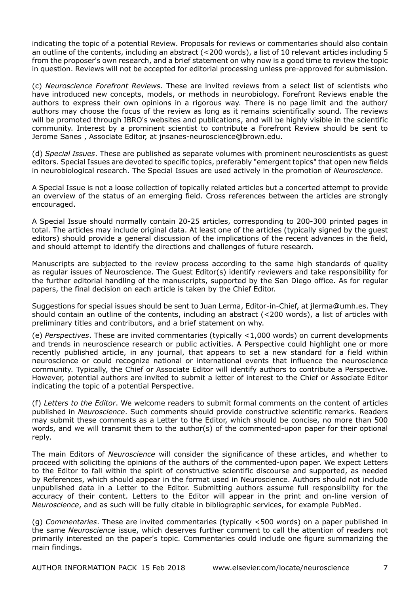indicating the topic of a potential Review. Proposals for reviews or commentaries should also contain an outline of the contents, including an abstract (<200 words), a list of 10 relevant articles including 5 from the proposer's own research, and a brief statement on why now is a good time to review the topic in question. Reviews will not be accepted for editorial processing unless pre-approved for submission.

(c) *Neuroscience Forefront Reviews*. These are invited reviews from a select list of scientists who have introduced new concepts, models, or methods in neurobiology. Forefront Reviews enable the authors to express their own opinions in a rigorous way. There is no page limit and the author/ authors may choose the focus of the review as long as it remains scientifically sound. The reviews will be promoted through IBRO's websites and publications, and will be highly visible in the scientific community. Interest by a prominent scientist to contribute a Forefront Review should be sent to Jerome Sanes , Associate Editor, at jnsanes-neuroscience@brown.edu.

(d) *Special Issues*. These are published as separate volumes with prominent neuroscientists as guest editors. Special Issues are devoted to specific topics, preferably "emergent topics" that open new fields in neurobiological research. The Special Issues are used actively in the promotion of *Neuroscience*.

A Special Issue is not a loose collection of topically related articles but a concerted attempt to provide an overview of the status of an emerging field. Cross references between the articles are strongly encouraged.

A Special Issue should normally contain 20-25 articles, corresponding to 200-300 printed pages in total. The articles may include original data. At least one of the articles (typically signed by the guest editors) should provide a general discussion of the implications of the recent advances in the field, and should attempt to identify the directions and challenges of future research.

Manuscripts are subjected to the review process according to the same high standards of quality as regular issues of Neuroscience. The Guest Editor(s) identify reviewers and take responsibility for the further editorial handling of the manuscripts, supported by the San Diego office. As for regular papers, the final decision on each article is taken by the Chief Editor.

Suggestions for special issues should be sent to Juan Lerma, Editor-in-Chief, at jlerma@umh.es. They should contain an outline of the contents, including an abstract (<200 words), a list of articles with preliminary titles and contributors, and a brief statement on why.

(e) *Perspectives*. These are invited commentaries (typically <1,000 words) on current developments and trends in neuroscience research or public activities. A Perspective could highlight one or more recently published article, in any journal, that appears to set a new standard for a field within neuroscience or could recognize national or international events that influence the neuroscience community. Typically, the Chief or Associate Editor will identify authors to contribute a Perspective. However, potential authors are invited to submit a letter of interest to the Chief or Associate Editor indicating the topic of a potential Perspective.

(f) *Letters to the Editor*. We welcome readers to submit formal comments on the content of articles published in *Neuroscience*. Such comments should provide constructive scientific remarks. Readers may submit these comments as a Letter to the Editor, which should be concise, no more than 500 words, and we will transmit them to the author(s) of the commented-upon paper for their optional reply.

The main Editors of *Neuroscience* will consider the significance of these articles, and whether to proceed with soliciting the opinions of the authors of the commented-upon paper. We expect Letters to the Editor to fall within the spirit of constructive scientific discourse and supported, as needed by References, which should appear in the format used in Neuroscience. Authors should not include unpublished data in a Letter to the Editor. Submitting authors assume full responsibility for the accuracy of their content. Letters to the Editor will appear in the print and on-line version of *Neuroscience*, and as such will be fully citable in bibliographic services, for example PubMed.

(g) *Commentaries*. These are invited commentaries (typically <500 words) on a paper published in the same *Neuroscience* issue, which deserves further comment to call the attention of readers not primarily interested on the paper's topic. Commentaries could include one figure summarizing the main findings.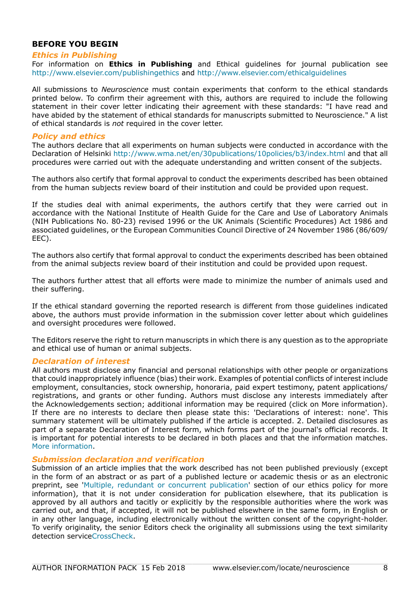# **BEFORE YOU BEGIN**

#### *Ethics in Publishing*

For information on **Ethics in Publishing** and Ethical guidelines for journal publication see http://www.elsevier.com/publishingethics and http://www.elsevier.com/ethicalguidelines

All submissions to *Neuroscience* must contain experiments that conform to the ethical standards printed below. To confirm their agreement with this, authors are required to include the following statement in their cover letter indicating their agreement with these standards: "I have read and have abided by the statement of ethical standards for manuscripts submitted to Neuroscience." A list of ethical standards is *not* required in the cover letter.

## *Policy and ethics*

The authors declare that all experiments on human subjects were conducted in accordance with the Declaration of Helsinki http://www.wma.net/en/30publications/10policies/b3/index.html and that all procedures were carried out with the adequate understanding and written consent of the subjects.

The authors also certify that formal approval to conduct the experiments described has been obtained from the human subjects review board of their institution and could be provided upon request.

If the studies deal with animal experiments, the authors certify that they were carried out in accordance with the National Institute of Health Guide for the Care and Use of Laboratory Animals (NIH Publications No. 80-23) revised 1996 or the UK Animals (Scientific Procedures) Act 1986 and associated guidelines, or the European Communities Council Directive of 24 November 1986 (86/609/ EEC).

The authors also certify that formal approval to conduct the experiments described has been obtained from the animal subjects review board of their institution and could be provided upon request.

The authors further attest that all efforts were made to minimize the number of animals used and their suffering.

If the ethical standard governing the reported research is different from those guidelines indicated above, the authors must provide information in the submission cover letter about which guidelines and oversight procedures were followed.

The Editors reserve the right to return manuscripts in which there is any question as to the appropriate and ethical use of human or animal subjects.

#### *Declaration of interest*

All authors must disclose any financial and personal relationships with other people or organizations that could inappropriately influence (bias) their work. Examples of potential conflicts of interest include employment, consultancies, stock ownership, honoraria, paid expert testimony, patent applications/ registrations, and grants or other funding. Authors must disclose any interests immediately after the Acknowledgements section; additional information may be required (click on More information). If there are no interests to declare then please state this: 'Declarations of interest: none'. This summary statement will be ultimately published if the article is accepted. 2. Detailed disclosures as part of a separate Declaration of Interest form, which forms part of the journal's official records. It is important for potential interests to be declared in both places and that the information matches. [More information](http://service.elsevier.com/app/answers/detail/a_id/286/supporthub/publishing).

#### *Submission declaration and verification*

Submission of an article implies that the work described has not been published previously (except in the form of an abstract or as part of a published lecture or academic thesis or as an electronic preprint, see '[Multiple, redundant or concurrent publication](http://www.elsevier.com/authors/journal-authors/policies-and-ethics)' section of our ethics policy for more information), that it is not under consideration for publication elsewhere, that its publication is approved by all authors and tacitly or explicitly by the responsible authorities where the work was carried out, and that, if accepted, it will not be published elsewhere in the same form, in English or in any other language, including electronically without the written consent of the copyright-holder. To verify originality, the senior Editors check the originality all submissions using the text similarity detection servic[eCrossCheck](http://www.elsevier.com/editors/plagdetect).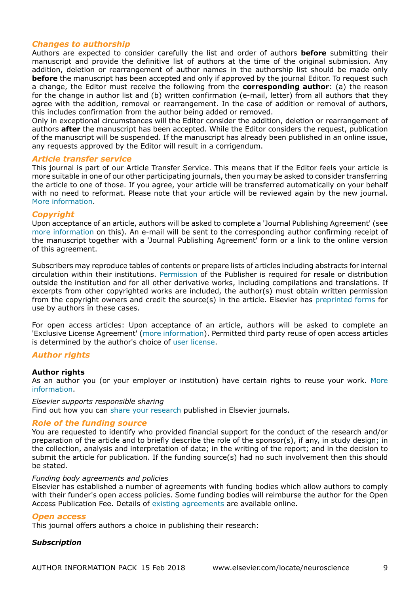# *Changes to authorship*

Authors are expected to consider carefully the list and order of authors **before** submitting their manuscript and provide the definitive list of authors at the time of the original submission. Any addition, deletion or rearrangement of author names in the authorship list should be made only **before** the manuscript has been accepted and only if approved by the journal Editor. To request such a change, the Editor must receive the following from the **corresponding author**: (a) the reason for the change in author list and (b) written confirmation (e-mail, letter) from all authors that they agree with the addition, removal or rearrangement. In the case of addition or removal of authors, this includes confirmation from the author being added or removed.

Only in exceptional circumstances will the Editor consider the addition, deletion or rearrangement of authors **after** the manuscript has been accepted. While the Editor considers the request, publication of the manuscript will be suspended. If the manuscript has already been published in an online issue, any requests approved by the Editor will result in a corrigendum.

## *Article transfer service*

This journal is part of our Article Transfer Service. This means that if the Editor feels your article is more suitable in one of our other participating journals, then you may be asked to consider transferring the article to one of those. If you agree, your article will be transferred automatically on your behalf with no need to reformat. Please note that your article will be reviewed again by the new journal. [More information](http://www.elsevier.com/authors/article-transfer-service).

#### *Copyright*

Upon acceptance of an article, authors will be asked to complete a 'Journal Publishing Agreement' (see [more information](http://www.elsevier.com/copyright) on this). An e-mail will be sent to the corresponding author confirming receipt of the manuscript together with a 'Journal Publishing Agreement' form or a link to the online version of this agreement.

Subscribers may reproduce tables of contents or prepare lists of articles including abstracts for internal circulation within their institutions. [Permission](http://www.elsevier.com/permissions) of the Publisher is required for resale or distribution outside the institution and for all other derivative works, including compilations and translations. If excerpts from other copyrighted works are included, the author(s) must obtain written permission from the copyright owners and credit the source(s) in the article. Elsevier has [preprinted forms](http://www.elsevier.com/__data/assets/word_doc/0007/98656/Permission-Request-Form.docx) for use by authors in these cases.

For open access articles: Upon acceptance of an article, authors will be asked to complete an 'Exclusive License Agreement' [\(more information](http://www.elsevier.com/about/company-information/policies/copyright)). Permitted third party reuse of open access articles is determined by the author's choice of [user license.](http://www.elsevier.com/openaccesslicenses)

## *Author rights*

## **Author rights**

As an author you (or your employer or institution) have certain rights to reuse your work. [More](http://www.elsevier.com/copyright) [information](http://www.elsevier.com/copyright).

#### *Elsevier supports responsible sharing*

Find out how you can [share your research](https://www.elsevier.com/sharing-articles) published in Elsevier journals.

#### *Role of the funding source*

You are requested to identify who provided financial support for the conduct of the research and/or preparation of the article and to briefly describe the role of the sponsor(s), if any, in study design; in the collection, analysis and interpretation of data; in the writing of the report; and in the decision to submit the article for publication. If the funding source(s) had no such involvement then this should be stated.

#### *Funding body agreements and policies*

Elsevier has established a number of agreements with funding bodies which allow authors to comply with their funder's open access policies. Some funding bodies will reimburse the author for the Open Access Publication Fee. Details of [existing agreements](https://www.elsevier.com/about/open-science/open-access/agreements) are available online.

## *Open access*

This journal offers authors a choice in publishing their research:

## *Subscription*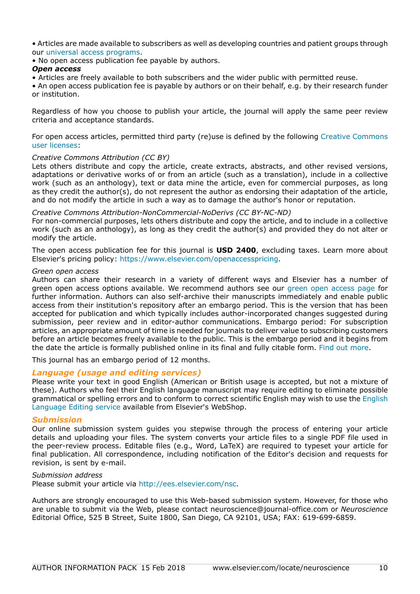• Articles are made available to subscribers as well as developing countries and patient groups through our [universal access programs](https://www.elsevier.com/access).

• No open access publication fee payable by authors.

## *Open access*

• Articles are freely available to both subscribers and the wider public with permitted reuse.

• An open access publication fee is payable by authors or on their behalf, e.g. by their research funder or institution.

Regardless of how you choose to publish your article, the journal will apply the same peer review criteria and acceptance standards.

For open access articles, permitted third party (re)use is defined by the following [Creative Commons](https://www.elsevier.com/openaccesslicenses) [user licenses:](https://www.elsevier.com/openaccesslicenses)

# *Creative Commons Attribution (CC BY)*

Lets others distribute and copy the article, create extracts, abstracts, and other revised versions. adaptations or derivative works of or from an article (such as a translation), include in a collective work (such as an anthology), text or data mine the article, even for commercial purposes, as long as they credit the author(s), do not represent the author as endorsing their adaptation of the article, and do not modify the article in such a way as to damage the author's honor or reputation.

## *Creative Commons Attribution-NonCommercial-NoDerivs (CC BY-NC-ND)*

For non-commercial purposes, lets others distribute and copy the article, and to include in a collective work (such as an anthology), as long as they credit the author(s) and provided they do not alter or modify the article.

The open access publication fee for this journal is **USD 2400**, excluding taxes. Learn more about Elsevier's pricing policy: https://www.elsevier.com/openaccesspricing.

## *Green open access*

Authors can share their research in a variety of different ways and Elsevier has a number of green open access options available. We recommend authors see our [green open access page](http://elsevier.com/greenopenaccess) for further information. Authors can also self-archive their manuscripts immediately and enable public access from their institution's repository after an embargo period. This is the version that has been accepted for publication and which typically includes author-incorporated changes suggested during submission, peer review and in editor-author communications. Embargo period: For subscription articles, an appropriate amount of time is needed for journals to deliver value to subscribing customers before an article becomes freely available to the public. This is the embargo period and it begins from the date the article is formally published online in its final and fully citable form. [Find out more.](https://www.elsevier.com/about/open-science/open-access/journal-embargo-finder/)

This journal has an embargo period of 12 months.

## *Language (usage and editing services)*

Please write your text in good English (American or British usage is accepted, but not a mixture of these). Authors who feel their English language manuscript may require editing to eliminate possible grammatical or spelling errors and to conform to correct scientific English may wish to use the [English](http://webshop.elsevier.com/languageediting/) [Language Editing service](http://webshop.elsevier.com/languageediting/) available from Elsevier's WebShop.

## *Submission*

Our online submission system guides you stepwise through the process of entering your article details and uploading your files. The system converts your article files to a single PDF file used in the peer-review process. Editable files (e.g., Word, LaTeX) are required to typeset your article for final publication. All correspondence, including notification of the Editor's decision and requests for revision, is sent by e-mail.

## *Submission address*

Please submit your article via http://ees.elsevier.com/nsc.

Authors are strongly encouraged to use this Web-based submission system. However, for those who are unable to submit via the Web, please contact neuroscience@journal-office.com or *Neuroscience* Editorial Office, 525 B Street, Suite 1800, San Diego, CA 92101, USA; FAX: 619-699-6859.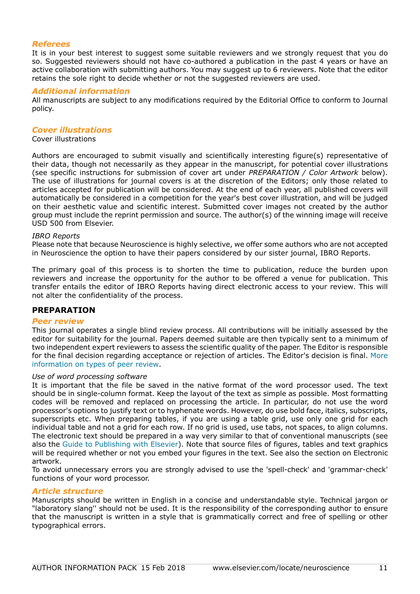# *Referees*

It is in your best interest to suggest some suitable reviewers and we strongly request that you do so. Suggested reviewers should not have co-authored a publication in the past 4 years or have an active collaboration with submitting authors. You may suggest up to 6 reviewers. Note that the editor retains the sole right to decide whether or not the suggested reviewers are used.

# *Additional information*

All manuscripts are subject to any modifications required by the Editorial Office to conform to Journal policy.

## *Cover illustrations*

# Cover illustrations

Authors are encouraged to submit visually and scientifically interesting figure(s) representative of their data, though not necessarily as they appear in the manuscript, for potential cover illustrations (see specific instructions for submission of cover art under *PREPARATION / Color Artwork* below). The use of illustrations for journal covers is at the discretion of the Editors; only those related to articles accepted for publication will be considered. At the end of each year, all published covers will automatically be considered in a competition for the year's best cover illustration, and will be judged on their aesthetic value and scientific interest. Submitted cover images not created by the author group must include the reprint permission and source. The author(s) of the winning image will receive USD 500 from Elsevier.

#### *IBRO Reports*

Please note that because Neuroscience is highly selective, we offer some authors who are not accepted in Neuroscience the option to have their papers considered by our sister journal, IBRO Reports.

The primary goal of this process is to shorten the time to publication, reduce the burden upon reviewers and increase the opportunity for the author to be offered a venue for publication. This transfer entails the editor of IBRO Reports having direct electronic access to your review. This will not alter the confidentiality of the process.

## **PREPARATION**

## *Peer review*

This journal operates a single blind review process. All contributions will be initially assessed by the editor for suitability for the journal. Papers deemed suitable are then typically sent to a minimum of two independent expert reviewers to assess the scientific quality of the paper. The Editor is responsible for the final decision regarding acceptance or rejection of articles. The Editor's decision is final. [More](https://www.elsevier.com/reviewers/what-is-peer-review) [information on types of peer review](https://www.elsevier.com/reviewers/what-is-peer-review).

#### *Use of word processing software*

It is important that the file be saved in the native format of the word processor used. The text should be in single-column format. Keep the layout of the text as simple as possible. Most formatting codes will be removed and replaced on processing the article. In particular, do not use the word processor's options to justify text or to hyphenate words. However, do use bold face, italics, subscripts, superscripts etc. When preparing tables, if you are using a table grid, use only one grid for each individual table and not a grid for each row. If no grid is used, use tabs, not spaces, to align columns. The electronic text should be prepared in a way very similar to that of conventional manuscripts (see also the [Guide to Publishing with Elsevier\)](https://www.elsevier.com/guidepublication). Note that source files of figures, tables and text graphics will be required whether or not you embed your figures in the text. See also the section on Electronic artwork.

To avoid unnecessary errors you are strongly advised to use the 'spell-check' and 'grammar-check' functions of your word processor.

## *Article structure*

Manuscripts should be written in English in a concise and understandable style. Technical jargon or "laboratory slang'' should not be used. It is the responsibility of the corresponding author to ensure that the manuscript is written in a style that is grammatically correct and free of spelling or other typographical errors.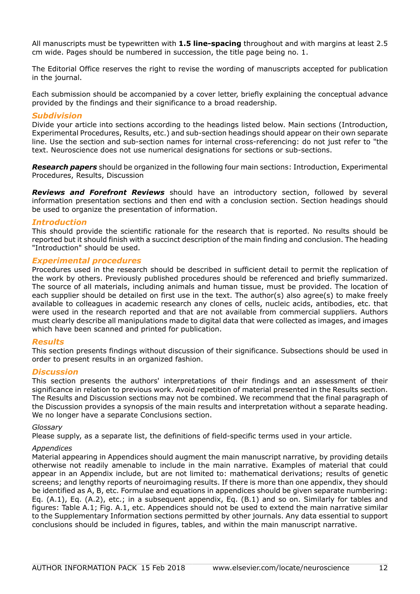All manuscripts must be typewritten with **1.5 line-spacing** throughout and with margins at least 2.5 cm wide. Pages should be numbered in succession, the title page being no. 1.

The Editorial Office reserves the right to revise the wording of manuscripts accepted for publication in the journal.

Each submission should be accompanied by a cover letter, briefly explaining the conceptual advance provided by the findings and their significance to a broad readership.

# *Subdivision*

Divide your article into sections according to the headings listed below. Main sections (Introduction, Experimental Procedures, Results, etc.) and sub-section headings should appear on their own separate line. Use the section and sub-section names for internal cross-referencing: do not just refer to "the text. Neuroscience does not use numerical designations for sections or sub-sections.

*Research papers* should be organized in the following four main sections: Introduction, Experimental Procedures, Results, Discussion

*Reviews and Forefront Reviews* should have an introductory section, followed by several information presentation sections and then end with a conclusion section. Section headings should be used to organize the presentation of information.

# *Introduction*

This should provide the scientific rationale for the research that is reported. No results should be reported but it should finish with a succinct description of the main finding and conclusion. The heading "Introduction" should be used.

# *Experimental procedures*

Procedures used in the research should be described in sufficient detail to permit the replication of the work by others. Previously published procedures should be referenced and briefly summarized. The source of all materials, including animals and human tissue, must be provided. The location of each supplier should be detailed on first use in the text. The author(s) also agree(s) to make freely available to colleagues in academic research any clones of cells, nucleic acids, antibodies, etc. that were used in the research reported and that are not available from commercial suppliers. Authors must clearly describe all manipulations made to digital data that were collected as images, and images which have been scanned and printed for publication.

## *Results*

This section presents findings without discussion of their significance. Subsections should be used in order to present results in an organized fashion.

## *Discussion*

This section presents the authors' interpretations of their findings and an assessment of their significance in relation to previous work. Avoid repetition of material presented in the Results section. The Results and Discussion sections may not be combined. We recommend that the final paragraph of the Discussion provides a synopsis of the main results and interpretation without a separate heading. We no longer have a separate Conclusions section.

## *Glossary*

Please supply, as a separate list, the definitions of field-specific terms used in your article.

## *Appendices*

Material appearing in Appendices should augment the main manuscript narrative, by providing details otherwise not readily amenable to include in the main narrative. Examples of material that could appear in an Appendix include, but are not limited to: mathematical derivations; results of genetic screens; and lengthy reports of neuroimaging results. If there is more than one appendix, they should be identified as A, B, etc. Formulae and equations in appendices should be given separate numbering: Eq. (A.1), Eq. (A.2), etc.; in a subsequent appendix, Eq. (B.1) and so on. Similarly for tables and figures: Table A.1; Fig. A.1, etc. Appendices should not be used to extend the main narrative similar to the Supplementary Information sections permitted by other journals. Any data essential to support conclusions should be included in figures, tables, and within the main manuscript narrative.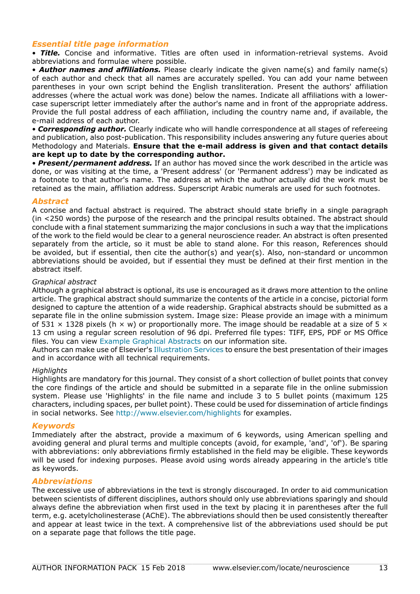# *Essential title page information*

• *Title.* Concise and informative. Titles are often used in information-retrieval systems. Avoid abbreviations and formulae where possible.

• *Author names and affiliations.* Please clearly indicate the given name(s) and family name(s) of each author and check that all names are accurately spelled. You can add your name between parentheses in your own script behind the English transliteration. Present the authors' affiliation addresses (where the actual work was done) below the names. Indicate all affiliations with a lowercase superscript letter immediately after the author's name and in front of the appropriate address. Provide the full postal address of each affiliation, including the country name and, if available, the e-mail address of each author.

• *Corresponding author.* Clearly indicate who will handle correspondence at all stages of refereeing and publication, also post-publication. This responsibility includes answering any future queries about Methodology and Materials. **Ensure that the e-mail address is given and that contact details are kept up to date by the corresponding author.**

• *Present/permanent address.* If an author has moved since the work described in the article was done, or was visiting at the time, a 'Present address' (or 'Permanent address') may be indicated as a footnote to that author's name. The address at which the author actually did the work must be retained as the main, affiliation address. Superscript Arabic numerals are used for such footnotes.

# *Abstract*

A concise and factual abstract is required. The abstract should state briefly in a single paragraph (in <250 words) the purpose of the research and the principal results obtained. The abstract should conclude with a final statement summarizing the major conclusions in such a way that the implications of the work to the field would be clear to a general neuroscience reader. An abstract is often presented separately from the article, so it must be able to stand alone. For this reason, References should be avoided, but if essential, then cite the author(s) and year(s). Also, non-standard or uncommon abbreviations should be avoided, but if essential they must be defined at their first mention in the abstract itself.

## *Graphical abstract*

Although a graphical abstract is optional, its use is encouraged as it draws more attention to the online article. The graphical abstract should summarize the contents of the article in a concise, pictorial form designed to capture the attention of a wide readership. Graphical abstracts should be submitted as a separate file in the online submission system. Image size: Please provide an image with a minimum of 531  $\times$  1328 pixels (h  $\times$  w) or proportionally more. The image should be readable at a size of 5  $\times$ 13 cm using a regular screen resolution of 96 dpi. Preferred file types: TIFF, EPS, PDF or MS Office files. You can view [Example Graphical Abstracts](https://www.elsevier.com/graphicalabstracts) on our information site.

Authors can make use of Elsevier's [Illustration Services](http://webshop.elsevier.com/illustration-services/) to ensure the best presentation of their images and in accordance with all technical requirements.

## *Highlights*

Highlights are mandatory for this journal. They consist of a short collection of bullet points that convey the core findings of the article and should be submitted in a separate file in the online submission system. Please use 'Highlights' in the file name and include 3 to 5 bullet points (maximum 125 characters, including spaces, per bullet point). These could be used for dissemination of article findings in social networks. See http://www.elsevier.com/highlights for examples.

## *Keywords*

Immediately after the abstract, provide a maximum of 6 keywords, using American spelling and avoiding general and plural terms and multiple concepts (avoid, for example, 'and', 'of'). Be sparing with abbreviations: only abbreviations firmly established in the field may be eligible. These keywords will be used for indexing purposes. Please avoid using words already appearing in the article's title as keywords.

## *Abbreviations*

The excessive use of abbreviations in the text is strongly discouraged. In order to aid communication between scientists of different disciplines, authors should only use abbreviations sparingly and should always define the abbreviation when first used in the text by placing it in parentheses after the full term, e.g. acetylcholinesterase (AChE). The abbreviations should then be used consistently thereafter and appear at least twice in the text. A comprehensive list of the abbreviations used should be put on a separate page that follows the title page.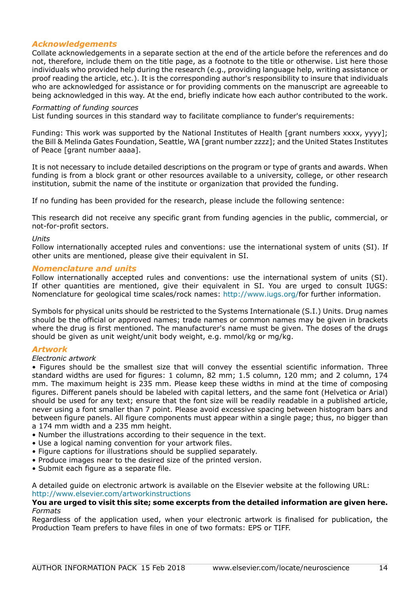# *Acknowledgements*

Collate acknowledgements in a separate section at the end of the article before the references and do not, therefore, include them on the title page, as a footnote to the title or otherwise. List here those individuals who provided help during the research (e.g., providing language help, writing assistance or proof reading the article, etc.). It is the corresponding author's responsibility to insure that individuals who are acknowledged for assistance or for providing comments on the manuscript are agreeable to being acknowledged in this way. At the end, briefly indicate how each author contributed to the work.

#### *Formatting of funding sources*

List funding sources in this standard way to facilitate compliance to funder's requirements:

Funding: This work was supported by the National Institutes of Health [grant numbers xxxx, yyyy]; the Bill & Melinda Gates Foundation, Seattle, WA [grant number zzzz]; and the United States Institutes of Peace [grant number aaaa].

It is not necessary to include detailed descriptions on the program or type of grants and awards. When funding is from a block grant or other resources available to a university, college, or other research institution, submit the name of the institute or organization that provided the funding.

If no funding has been provided for the research, please include the following sentence:

This research did not receive any specific grant from funding agencies in the public, commercial, or not-for-profit sectors.

#### *Units*

Follow internationally accepted rules and conventions: use the international system of units (SI). If other units are mentioned, please give their equivalent in SI.

#### *Nomenclature and units*

Follow internationally accepted rules and conventions: use the international system of units (SI). If other quantities are mentioned, give their equivalent in SI. You are urged to consult IUGS: Nomenclature for geological time scales/rock names: http://www.iugs.org/for further information.

Symbols for physical units should be restricted to the Systems Internationale (S.I.) Units. Drug names should be the official or approved names; trade names or common names may be given in brackets where the drug is first mentioned. The manufacturer's name must be given. The doses of the drugs should be given as unit weight/unit body weight, e.g. mmol/kg or mg/kg.

## *Artwork*

## *Electronic artwork*

• Figures should be the smallest size that will convey the essential scientific information. Three standard widths are used for figures: 1 column, 82 mm; 1.5 column, 120 mm; and 2 column, 174 mm. The maximum height is 235 mm. Please keep these widths in mind at the time of composing figures. Different panels should be labeled with capital letters, and the same font (Helvetica or Arial) should be used for any text; ensure that the font size will be readily readable in a published article, never using a font smaller than 7 point. Please avoid excessive spacing between histogram bars and between figure panels. All figure components must appear within a single page; thus, no bigger than

- a 174 mm width and a 235 mm height.
- Number the illustrations according to their sequence in the text.
- Use a logical naming convention for your artwork files.
- Figure captions for illustrations should be supplied separately.
- Produce images near to the desired size of the printed version.
- Submit each figure as a separate file.

A detailed guide on electronic artwork is available on the Elsevier website at the following URL: http://www.elsevier.com/artworkinstructions

#### **You are urged to visit this site; some excerpts from the detailed information are given here.** *Formats*

Regardless of the application used, when your electronic artwork is finalised for publication, the Production Team prefers to have files in one of two formats: EPS or TIFF.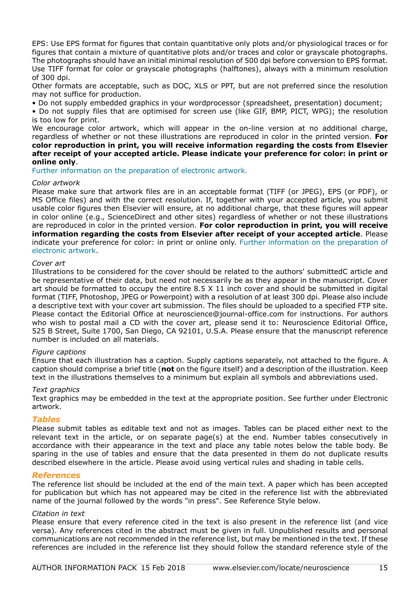EPS: Use EPS format for figures that contain quantitative only plots and/or physiological traces or for figures that contain a mixture of quantitative plots and/or traces and color or grayscale photographs. The photographs should have an initial minimal resolution of 500 dpi before conversion to EPS format. Use TIFF format for color or grayscale photographs (halftones), always with a minimum resolution of 300 dpi.

Other formats are acceptable, such as DOC, XLS or PPT, but are not preferred since the resolution may not suffice for production.

• Do not supply embedded graphics in your wordprocessor (spreadsheet, presentation) document;

• Do not supply files that are optimised for screen use (like GIF, BMP, PICT, WPG); the resolution is too low for print.

We encourage color artwork, which will appear in the on-line version at no additional charge, regardless of whether or not these illustrations are reproduced in color in the printed version. **For color reproduction in print, you will receive information regarding the costs from Elsevier after receipt of your accepted article. Please indicate your preference for color: in print or online only**.

[Further information on the preparation of electronic artwork.](https://www.elsevier.com/authors/author-schemas/artwork-and-media-instructions)

#### *Color artwork*

Please make sure that artwork files are in an acceptable format (TIFF (or JPEG), EPS (or PDF), or MS Office files) and with the correct resolution. If, together with your accepted article, you submit usable color figures then Elsevier will ensure, at no additional charge, that these figures will appear in color online (e.g., ScienceDirect and other sites) regardless of whether or not these illustrations are reproduced in color in the printed version. **For color reproduction in print, you will receive information regarding the costs from Elsevier after receipt of your accepted article**. Please indicate your preference for color: in print or online only. [Further information on the preparation of](https://www.elsevier.com/artworkinstructions) [electronic artwork.](https://www.elsevier.com/artworkinstructions)

#### *Cover art*

Illustrations to be considered for the cover should be related to the authors' submittedC article and be representative of their data, but need not necessarily be as they appear in the manuscript. Cover art should be formatted to occupy the entire 8.5 X 11 inch cover and should be submitted in digital format (TIFF, Photoshop, JPEG or Powerpoint) with a resolution of at least 300 dpi. Please also include a descriptive text with your cover art submission. The files should be uploaded to a specified FTP site. Please contact the Editorial Office at neuroscience@journal-office.com for instructions. For authors who wish to postal mail a CD with the cover art, please send it to: Neuroscience Editorial Office, 525 B Street, Suite 1700, San Diego, CA 92101, U.S.A. Please ensure that the manuscript reference number is included on all materials.

## *Figure captions*

Ensure that each illustration has a caption. Supply captions separately, not attached to the figure. A caption should comprise a brief title (**not** on the figure itself) and a description of the illustration. Keep text in the illustrations themselves to a minimum but explain all symbols and abbreviations used.

## *Text graphics*

Text graphics may be embedded in the text at the appropriate position. See further under Electronic artwork.

## *Tables*

Please submit tables as editable text and not as images. Tables can be placed either next to the relevant text in the article, or on separate page(s) at the end. Number tables consecutively in accordance with their appearance in the text and place any table notes below the table body. Be sparing in the use of tables and ensure that the data presented in them do not duplicate results described elsewhere in the article. Please avoid using vertical rules and shading in table cells.

#### *References*

The reference list should be included at the end of the main text. A paper which has been accepted for publication but which has not appeared may be cited in the reference list with the abbreviated name of the journal followed by the words "in press". See Reference Style below.

#### *Citation in text*

Please ensure that every reference cited in the text is also present in the reference list (and vice versa). Any references cited in the abstract must be given in full. Unpublished results and personal communications are not recommended in the reference list, but may be mentioned in the text. If these references are included in the reference list they should follow the standard reference style of the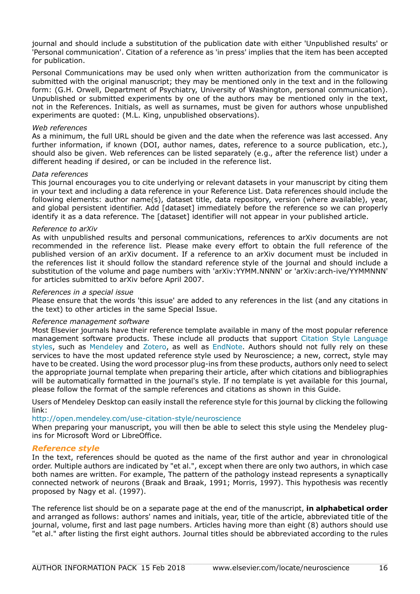journal and should include a substitution of the publication date with either 'Unpublished results' or 'Personal communication'. Citation of a reference as 'in press' implies that the item has been accepted for publication.

Personal Communications may be used only when written authorization from the communicator is submitted with the original manuscript; they may be mentioned only in the text and in the following form: (G.H. Orwell, Department of Psychiatry, University of Washington, personal communication). Unpublished or submitted experiments by one of the authors may be mentioned only in the text, not in the References. Initials, as well as surnames, must be given for authors whose unpublished experiments are quoted: (M.L. King, unpublished observations).

#### *Web references*

As a minimum, the full URL should be given and the date when the reference was last accessed. Any further information, if known (DOI, author names, dates, reference to a source publication, etc.), should also be given. Web references can be listed separately (e.g., after the reference list) under a different heading if desired, or can be included in the reference list.

## *Data references*

This journal encourages you to cite underlying or relevant datasets in your manuscript by citing them in your text and including a data reference in your Reference List. Data references should include the following elements: author name(s), dataset title, data repository, version (where available), year, and global persistent identifier. Add [dataset] immediately before the reference so we can properly identify it as a data reference. The [dataset] identifier will not appear in your published article.

#### *Reference to arXiv*

As with unpublished results and personal communications, references to arXiv documents are not recommended in the reference list. Please make every effort to obtain the full reference of the published version of an arXiv document. If a reference to an arXiv document must be included in the references list it should follow the standard reference style of the journal and should include a substitution of the volume and page numbers with 'arXiv:YYMM.NNNN' or 'arXiv:arch-ive/YYMMNNN' for articles submitted to arXiv before April 2007.

#### *References in a special issue*

Please ensure that the words 'this issue' are added to any references in the list (and any citations in the text) to other articles in the same Special Issue.

#### *Reference management software*

Most Elsevier journals have their reference template available in many of the most popular reference management software products. These include all products that support [Citation Style Language](http://citationstyles.org) [styles](http://citationstyles.org), such as [Mendeley](http://www.mendeley.com/features/reference-manager) and [Zotero,](http://www.zotero.org/) as well as [EndNote.](http://endnote.com/downloads/styles) Authors should not fully rely on these services to have the most updated reference style used by Neuroscience; a new, correct, style may have to be created. Using the word processor plug-ins from these products, authors only need to select the appropriate journal template when preparing their article, after which citations and bibliographies will be automatically formatted in the journal's style. If no template is yet available for this journal, please follow the format of the sample references and citations as shown in this Guide.

Users of Mendeley Desktop can easily install the reference style for this journal by clicking the following link:

#### http://open.mendeley.com/use-citation-style/neuroscience

When preparing your manuscript, you will then be able to select this style using the Mendeley plugins for Microsoft Word or LibreOffice.

## *Reference style*

In the text, references should be quoted as the name of the first author and year in chronological order. Multiple authors are indicated by "et al.", except when there are only two authors, in which case both names are written. For example, The pattern of the pathology instead represents a synaptically connected network of neurons (Braak and Braak, 1991; Morris, 1997). This hypothesis was recently proposed by Nagy et al. (1997).

The reference list should be on a separate page at the end of the manuscript, **in alphabetical order** and arranged as follows: authors' names and initials, year, title of the article, abbreviated title of the journal, volume, first and last page numbers. Articles having more than eight (8) authors should use "et al." after listing the first eight authors. Journal titles should be abbreviated according to the rules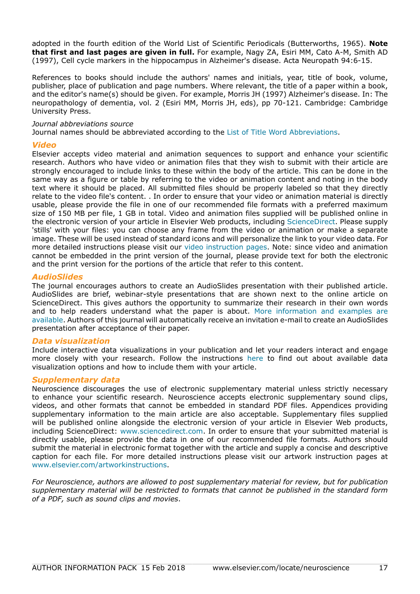adopted in the fourth edition of the World List of Scientific Periodicals (Butterworths, 1965). **Note that first and last pages are given in full.** For example, Nagy ZA, Esiri MM, Cato A-M, Smith AD (1997), Cell cycle markers in the hippocampus in Alzheimer's disease. Acta Neuropath 94:6-15.

References to books should include the authors' names and initials, year, title of book, volume, publisher, place of publication and page numbers. Where relevant, the title of a paper within a book, and the editor's name(s) should be given. For example, Morris JH (1997) Alzheimer's disease. In: The neuropathology of dementia, vol. 2 (Esiri MM, Morris JH, eds), pp 70-121. Cambridge: Cambridge University Press.

#### *Journal abbreviations source*

Journal names should be abbreviated according to the [List of Title Word Abbreviations.](http://www.issn.org/services/online-services/access-to-the-ltwa/)

#### *Video*

Elsevier accepts video material and animation sequences to support and enhance your scientific research. Authors who have video or animation files that they wish to submit with their article are strongly encouraged to include links to these within the body of the article. This can be done in the same way as a figure or table by referring to the video or animation content and noting in the body text where it should be placed. All submitted files should be properly labeled so that they directly relate to the video file's content. . In order to ensure that your video or animation material is directly usable, please provide the file in one of our recommended file formats with a preferred maximum size of 150 MB per file, 1 GB in total. Video and animation files supplied will be published online in the electronic version of your article in Elsevier Web products, including [ScienceDirect](http://www.sciencedirect.com). Please supply 'stills' with your files: you can choose any frame from the video or animation or make a separate image. These will be used instead of standard icons and will personalize the link to your video data. For more detailed instructions please visit our [video instruction pages.](https://www.elsevier.com/artworkinstructions) Note: since video and animation cannot be embedded in the print version of the journal, please provide text for both the electronic and the print version for the portions of the article that refer to this content.

# *AudioSlides*

The journal encourages authors to create an AudioSlides presentation with their published article. AudioSlides are brief, webinar-style presentations that are shown next to the online article on ScienceDirect. This gives authors the opportunity to summarize their research in their own words and to help readers understand what the paper is about. [More information and examples are](https://www.elsevier.com/audioslides) [available](https://www.elsevier.com/audioslides). Authors of this journal will automatically receive an invitation e-mail to create an AudioSlides presentation after acceptance of their paper.

## *Data visualization*

Include interactive data visualizations in your publication and let your readers interact and engage more closely with your research. Follow the instructions [here](https://www.elsevier.com/authors/author-services/data-visualization) to find out about available data visualization options and how to include them with your article.

## *Supplementary data*

Neuroscience discourages the use of electronic supplementary material unless strictly necessary to enhance your scientific research. Neuroscience accepts electronic supplementary sound clips, videos, and other formats that cannot be embedded in standard PDF files. Appendices providing supplementary information to the main article are also acceptable. Supplementary files supplied will be published online alongside the electronic version of your article in Elsevier Web products, including ScienceDirect: [www.sciencedirect.com.](http://www.sciencedirect.com) In order to ensure that your submitted material is directly usable, please provide the data in one of our recommended file formats. Authors should submit the material in electronic format together with the article and supply a concise and descriptive caption for each file. For more detailed instructions please visit our artwork instruction pages at [www.elsevier.com/artworkinstructions](http://www.elsevier.com/artworkinstructions).

*For Neuroscience, authors are allowed to post supplementary material for review, but for publication supplementary material will be restricted to formats that cannot be published in the standard form of a PDF, such as sound clips and movies*.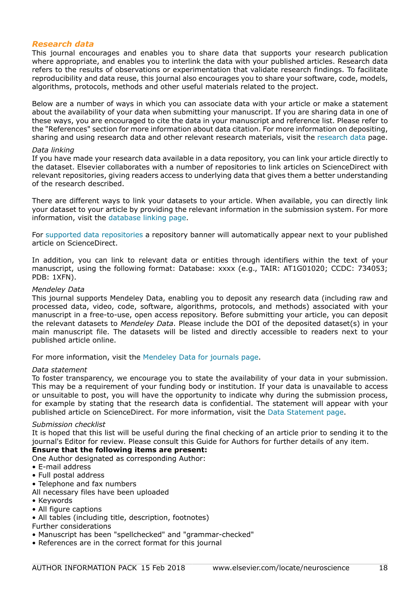# *Research data*

This journal encourages and enables you to share data that supports your research publication where appropriate, and enables you to interlink the data with your published articles. Research data refers to the results of observations or experimentation that validate research findings. To facilitate reproducibility and data reuse, this journal also encourages you to share your software, code, models, algorithms, protocols, methods and other useful materials related to the project.

Below are a number of ways in which you can associate data with your article or make a statement about the availability of your data when submitting your manuscript. If you are sharing data in one of these ways, you are encouraged to cite the data in your manuscript and reference list. Please refer to the "References" section for more information about data citation. For more information on depositing, sharing and using research data and other relevant research materials, visit the [research data](https://www.elsevier.com/authors/journal-authors/research-data) page.

#### *Data linking*

If you have made your research data available in a data repository, you can link your article directly to the dataset. Elsevier collaborates with a number of repositories to link articles on ScienceDirect with relevant repositories, giving readers access to underlying data that gives them a better understanding of the research described.

There are different ways to link your datasets to your article. When available, you can directly link your dataset to your article by providing the relevant information in the submission system. For more information, visit the [database linking page.](https://www.elsevier.com/databaselinking)

For [supported data repositories](https://www.elsevier.com/books-and-journals/enrichments/data-base-linking/supported-data-repositories) a repository banner will automatically appear next to your published article on ScienceDirect.

In addition, you can link to relevant data or entities through identifiers within the text of your manuscript, using the following format: Database: xxxx (e.g., TAIR: AT1G01020; CCDC: 734053; PDB: 1XFN).

#### *Mendeley Data*

This journal supports Mendeley Data, enabling you to deposit any research data (including raw and processed data, video, code, software, algorithms, protocols, and methods) associated with your manuscript in a free-to-use, open access repository. Before submitting your article, you can deposit the relevant datasets to *Mendeley Data*. Please include the DOI of the deposited dataset(s) in your main manuscript file. The datasets will be listed and directly accessible to readers next to your published article online.

For more information, visit the [Mendeley Data for journals page](https://www.elsevier.com/authors/author-services/research-data/mendeley-data-for-journals).

#### *Data statement*

To foster transparency, we encourage you to state the availability of your data in your submission. This may be a requirement of your funding body or institution. If your data is unavailable to access or unsuitable to post, you will have the opportunity to indicate why during the submission process, for example by stating that the research data is confidential. The statement will appear with your published article on ScienceDirect. For more information, visit the [Data Statement page](https://www.elsevier.com/authors/author-services/research-data/data-profile).

#### *Submission checklist*

It is hoped that this list will be useful during the final checking of an article prior to sending it to the journal's Editor for review. Please consult this Guide for Authors for further details of any item.

## **Ensure that the following items are present:**

One Author designated as corresponding Author:

- E-mail address
- Full postal address
- Telephone and fax numbers
- All necessary files have been uploaded
- Keywords
- All figure captions
- All tables (including title, description, footnotes)

## Further considerations

- Manuscript has been "spellchecked" and "grammar-checked"
- References are in the correct format for this journal